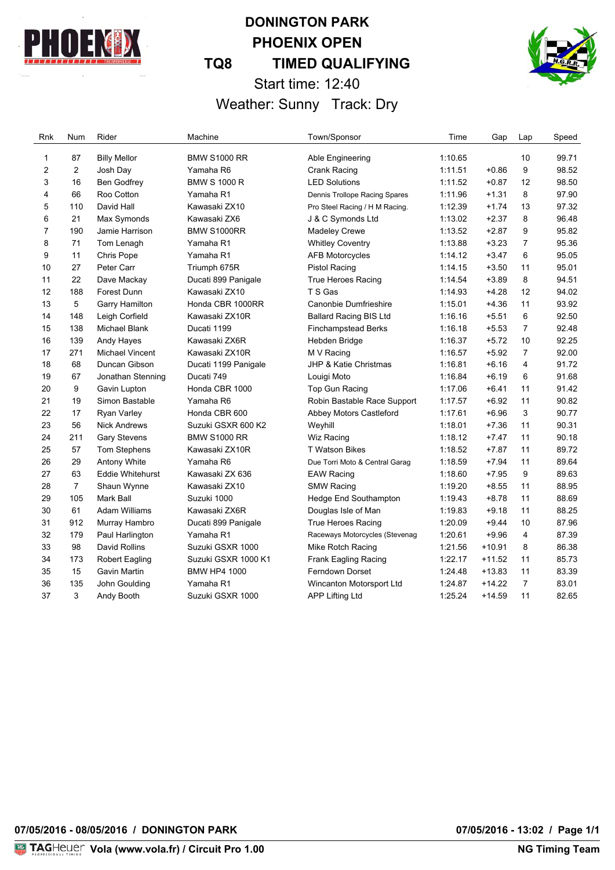

# **DONINGTON PARK PHOENIX OPEN TQ8 TIMED QUALIFYING** Start time: 12:40 Weather: Sunny Track: Dry



Rnk Num Rider **Machine** Machine Town/Sponsor Time Gap Lap Speed 1 87 Billy Mellor BMW S1000 RR Able Engineering 1:10.65 10 99.71 2 Josh Day Yamaha R6 Crank Racing 1:11.51 +0.86 9 98.52 16 Ben Godfrey BMW S 1000 R LED Solutions 1:11.52 +0.87 12 98.50 66 Roo Cotton Yamaha R1 Dennis Trollope Racing Spares 1:11.96 +1.31 8 97.90 110 David Hall Kawasaki ZX10 Pro Steel Racing / H M Racing. 1:12.39 +1.74 13 97.32 21 Max Symonds Kawasaki ZX6 J & C Symonds Ltd 1:13.02 +2.37 8 96.48 7 190 Jamie Harrison BMW S1000RR Madeley Crewe 1:13.52 + 2.87 9 95.82 71 Tom Lenagh Yamaha R1 Whitley Coventry 1:13.88 +3.23 7 95.36 11 Chris Pope Yamaha R1 AFB Motorcycles 1:14.12 +3.47 6 95.05 27 Peter Carr Triumph 675R Pistol Racing 1:14.15 +3.50 11 95.01 11 22 Dave Mackay Ducati 899 Panigale True Heroes Racing 1:14.54 +3.89 8 94.51 188 Forest Dunn Kawasaki ZX10 T S Gas 1:14.93 +4.28 12 94.02 5 Garry Hamilton Honda CBR 1000RR Canonbie Dumfrieshire 1:15.01 +4.36 11 93.92 148 Leigh Corfield Kawasaki ZX10R Ballard Racing BIS Ltd 1:16.16 +5.51 6 92.50 138 Michael Blank Ducati 1199 Finchampstead Berks 1:16.18 +5.53 7 92.48 139 Andy Hayes Kawasaki ZX6R Hebden Bridge 1:16.37 +5.72 10 92.25 271 Michael Vincent Kawasaki ZX10R M V Racing 1:16.57 +5.92 7 92.00 68 Duncan Gibson Ducati 1199 Panigale JHP & Katie Christmas 1:16.81 +6.16 4 91.72 67 Jonathan Stenning Ducati 749 Louigi Moto 1:16.84 +6.19 6 91.68 9 Gavin Lupton Honda CBR 1000 Top Gun Racing 1:17.06 +6.41 11 91.42 21 19 Simon Bastable Yamaha R6 Robin Bastable Race Support 1:17.57 +6.92 11 90.82 17 Ryan Varley Honda CBR 600 Abbey Motors Castleford 1:17.61 +6.96 3 90.77 56 Nick Andrews Suzuki GSXR 600 K2 Weyhill 1:18.01 +7.36 11 90.31 211 Gary Stevens BMW S1000 RR Wiz Racing 1:18.12 +7.47 11 90.18 57 Tom Stephens Kawasaki ZX10R T Watson Bikes 1:18.52 +7.87 11 89.72 29 Antony White Yamaha R6 Due Torri Moto & Central Garag 1:18.59 +7.94 11 89.64 63 Eddie Whitehurst Kawasaki ZX 636 EAW Racing 1:18.60 +7.95 9 89.63 7 Shaun Wynne Kawasaki ZX10 SMW Racing 1:19.20 +8.55 11 88.95 105 Mark Ball Suzuki 1000 Hedge End Southampton 1:19.43 +8.78 11 88.69 61 Adam Williams Kawasaki ZX6R Douglas Isle of Man 1:19.83 +9.18 11 88.25 31 912 Murray Hambro Ducati 899 Panigale True Heroes Racing 1:20.09 +9.44 10 87.96 32 179 Paul Harlington Yamaha R1 Raceways Motorcycles (Stevenag 1:20.61 +9.96 4 87.39 98 David Rollins Suzuki GSXR 1000 Mike Rotch Racing 1:21.56 +10.91 8 86.38 173 Robert Eagling Suzuki GSXR 1000 K1 Frank Eagling Racing 1:22.17 +11.52 11 85.73 15 Gavin Martin BMW HP4 1000 Ferndown Dorset 1:24.48 +13.83 11 83.39 135 John Goulding Yamaha R1 Wincanton Motorsport Ltd 1:24.87 +14.22 7 83.01 3 Andy Booth Suzuki GSXR 1000 APP Lifting Ltd 1:25.24 +14.59 11 82.65

**07/05/2016 - 08/05/2016 / DONINGTON PARK 07/05/2016 - 13:02 / Page 1/1**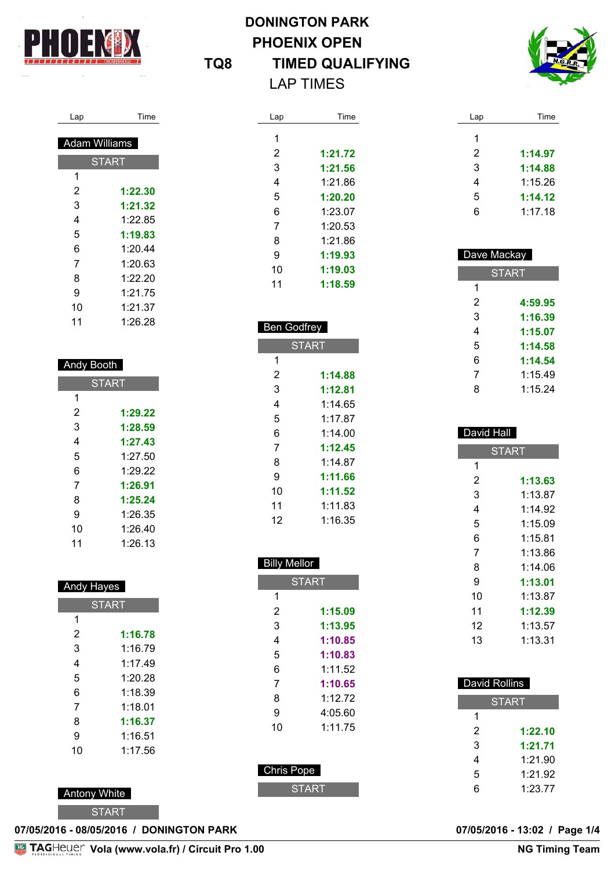

I

# **DONINGTON PARK PHOENIX OPEN TQ8 TIMED QUALIFYING** LAP TIMES



| эn | ıme<br> |
|----|---------|
|    |         |

| Adam Williams |              |
|---------------|--------------|
|               | <b>START</b> |
| 1             |              |
| 2             | 1:22.30      |
| 3             | 1:21.32      |
| 4             | 1:22.85      |
| 5             | 1:19.83      |
| 6             | 1:20.44      |
| 7             | 1:20.63      |
| 8             | 1:22.20      |
| 9             | 1:21.75      |
| 10            | 1:21.37      |
| 11            | 1:26.28      |

#### Andy Booth

| <b>START</b> |         |
|--------------|---------|
| 1            |         |
| 2            | 1:29.22 |
| 3            | 1:28.59 |
| 4            | 1:27.43 |
| 5            | 1:27.50 |
| 6            | 1:29.22 |
| 7            | 1:26.91 |
| 8            | 1:25.24 |
| 9            | 1:26.35 |
| 10           | 1:26.40 |
| 11           | 1:26.13 |

### Andy Hayes

| <b>START</b> |         |
|--------------|---------|
| 1            |         |
| 2            | 1:16.78 |
| 3            | 1:16.79 |
| 4            | 1.1749  |
| 5            | 1:20.28 |
| 6            | 1:18.39 |
| 7            | 1:18.01 |
| 8            | 1:16.37 |
| 9            | 1:16.51 |
| 10           | 1:17.56 |

### Antony White

**START** 

| Lap | Time    |
|-----|---------|
| 1   |         |
| 2   | 1:21.72 |
| 3   | 1:21.56 |
| 4   | 1:21.86 |
| 5   | 1:20.20 |
| 6   | 1:23.07 |
| 7   | 1:20.53 |
| 8   | 1:21.86 |
| 9   | 1:19.93 |
| 10  | 1:19.03 |
| 11  | 1:18.59 |

#### Ben Godfrey

I

| <b>START</b> |         |
|--------------|---------|
| 1            |         |
| 2            | 1:14.88 |
| 3            | 1:12.81 |
| 4            | 1:14.65 |
| 5            | 1.17.87 |
| 6            | 1:14 00 |
| 7            | 1:12.45 |
| 8            | 1:14.87 |
| 9            | 1:11.66 |
| 10           | 1:11.52 |
| 11           | 1:11.83 |
| 12           | 1:16.35 |

# Billy Mellor **START**

| 2                 | 1:15.09 |
|-------------------|---------|
| 3                 | 1:13.95 |
| 4                 | 1:10.85 |
| 5                 | 1:10.83 |
| 6                 | 1:11.52 |
| 7                 | 1:10.65 |
| 8                 | 1:12.72 |
| 9                 | 4:05.60 |
| 10                | 1:11.75 |
|                   |         |
|                   |         |
| <b>Chris Pope</b> |         |
| <b>START</b>      |         |
|                   |         |

| Lap | Time    |
|-----|---------|
| 1   |         |
| 2   | 1:14.97 |
| 3   | 1:14.88 |
| 4   | 1:15.26 |
| 5   | 1:14.12 |
| 6   | 1:17.18 |

| Dave Mackay  |         |  |
|--------------|---------|--|
| <b>START</b> |         |  |
| 1            |         |  |
| 2            | 4:59.95 |  |
| 3            | 1:16.39 |  |
| 4            | 1:15.07 |  |
| 5            | 1:14.58 |  |
| 6            | 1:14.54 |  |
| 7            | 1:15.49 |  |
| 8            | 1:15.24 |  |

#### David Hall **START 1:13.63** 1:13.87 1:14.92 1:15.09 1:15.81 1:13.86 1:14.06 **1:13.01** 1:13.87 **1:12.39** 1:13.57 1:13.31

| David Rollins |         |
|---------------|---------|
| <b>START</b>  |         |
| 1             |         |
| 2             | 1:22.10 |
| 3             | 1:21.71 |
| 4             | 1:21.90 |
| 5             | 1:21.92 |
| հ             | 1:23.77 |

**07/05/2016 - 08/05/2016 / DONINGTON PARK 07/05/2016 - 13:02 / Page 1/4**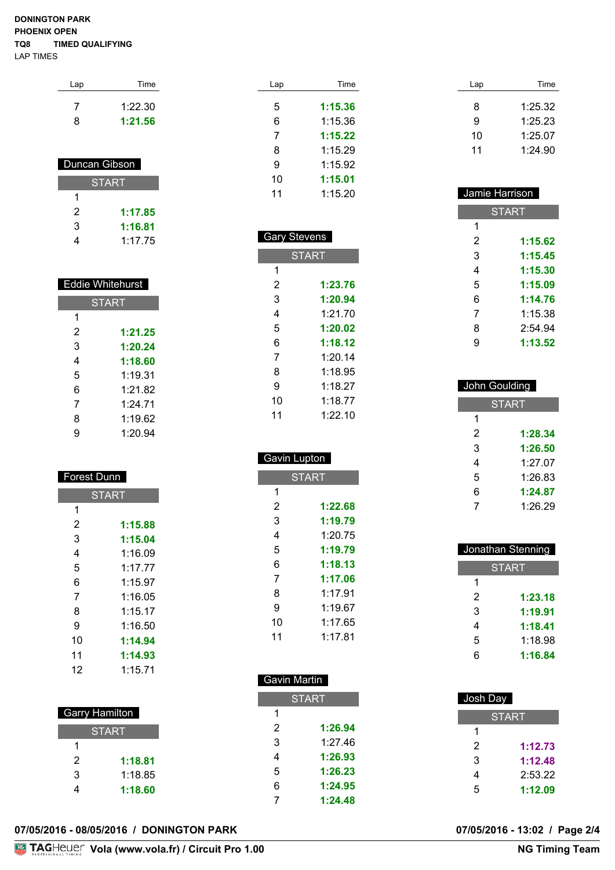#### **DONINGTON PARK PHOENIX OPEN TQ8 TIMED QUALIFYING** LAP TIMES

| Lap | Time    |
|-----|---------|
|     | 1:22.30 |
| 8   | 1:21.56 |

| Duncan Gibson |         |
|---------------|---------|
| START         |         |
| 1             |         |
| 2             | 1:17.85 |
| 3             | 1:16.81 |
|               | 1:17.75 |

| <b>Eddie Whitehurst</b> |              |  |
|-------------------------|--------------|--|
|                         | <b>START</b> |  |
| 1                       |              |  |
| 2                       | 1:21.25      |  |
| 3                       | 1:20.24      |  |
| 4                       | 1:18.60      |  |
| 5                       | 1.19.31      |  |
| 6                       | 1:21.82      |  |
| 7                       | 1.24 71      |  |
| 8                       | 1:19.62      |  |
| g                       | 1:20.94      |  |

| Forest Dunn |  |
|-------------|--|
|             |  |

| <b>START</b> |         |
|--------------|---------|
| 1            |         |
| 2            | 1:15.88 |
| 3            | 1:15.04 |
| 4            | 1:16.09 |
| 5            | 1.1777  |
| 6            | 1:15.97 |
| 7            | 1:16.05 |
| 8            | 1:15.17 |
| 9            | 1:16.50 |
| 10           | 1:14.94 |
| 11           | 1:14.93 |
| 12           | 1:15.71 |

| Garry Hamilton |         |
|----------------|---------|
| <b>START</b>   |         |
| 1              |         |
| 2              | 1:18.81 |
| 3              | 1:18.85 |
|                | 1:18.60 |

|  | 07/05/2016 - 08/05/2016 / DONINGTON PARK |  |
|--|------------------------------------------|--|
|  |                                          |  |

| Lap | Time    |
|-----|---------|
| 5   | 1:15.36 |
| 6   | 1:15.36 |
| 7   | 1:15.22 |
| 8   | 1:15.29 |
| 9   | 1:15.92 |
| 10  | 1:15.01 |
| 11  | 1:15.20 |
|     |         |

| <b>Gary Stevens</b> |              |
|---------------------|--------------|
|                     | <b>START</b> |
| 1                   |              |
| 2                   | 1:23.76      |
| 3                   | 1:20.94      |
| 4                   | 1.21 70      |
| 5                   | 1:20.02      |
| 6                   | 1:18.12      |
| 7                   | 1:20.14      |
| 8                   | 1:18.95      |
| 9                   | 1·18 27      |
| 10                  | 1:18.77      |
| 11                  | 1:22.10      |

#### Gavin Lupton

ı

| <b>START</b> |         |
|--------------|---------|
| 1            |         |
| 2            | 1:22.68 |
| 3            | 1:19.79 |
| 4            | 1:20.75 |
| 5            | 1:19.79 |
| 6            | 1:18.13 |
| 7            | 1:17.06 |
| 8            | 1:17.91 |
| 9            | 1:19.67 |
| 10           | 1:17.65 |
| 11           | 1.17.81 |

#### Gavin Martin

I

| <b>START</b> |         |  |
|--------------|---------|--|
| 1            |         |  |
| 2            | 1:26.94 |  |
| 3            | 1.27 46 |  |
| 4            | 1:26.93 |  |
| 5            | 1:26.23 |  |
| 6            | 1:24.95 |  |
| 7            | 1:24.48 |  |

| Lap | Time    |
|-----|---------|
|     |         |
| 8   | 1:25.32 |
| 9   | 1:25.23 |
| 10  | 1:25.07 |
| 11  | 1:24.90 |

| Jamie Harrison |              |  |
|----------------|--------------|--|
|                | <b>START</b> |  |
| 1              |              |  |
| 2              | 1:15.62      |  |
| 3              | 1:15.45      |  |
| 4              | 1:15.30      |  |
| 5              | 1:15.09      |  |
| 6              | 1:14.76      |  |
| 7              | 1:15.38      |  |
| 8              | 2:54.94      |  |
| g              | 1:13.52      |  |

| John Goulding |              |  |
|---------------|--------------|--|
|               | <b>START</b> |  |
| 1             |              |  |
| 2             | 1:28.34      |  |
| 3             | 1:26.50      |  |
| 4             | 1:27.07      |  |
| 5             | 1:26.83      |  |
| 6             | 1:24.87      |  |
|               | 1:26.29      |  |

| Jonathan Stenning |         |  |
|-------------------|---------|--|
| <b>START</b>      |         |  |
| 1                 |         |  |
| 2                 | 1:23.18 |  |
| 3                 | 1:19.91 |  |
| 4                 | 1:18.41 |  |
| 5                 | 1:18.98 |  |
| 6                 | 1:16.84 |  |

| Josh Day     |  |
|--------------|--|
| <b>START</b> |  |
|              |  |
| 1:12.73      |  |
| 1:12.48      |  |
| 2:53.22      |  |
| 1:12.09      |  |
|              |  |

07/05/2016 - 13:02 / Page 2/4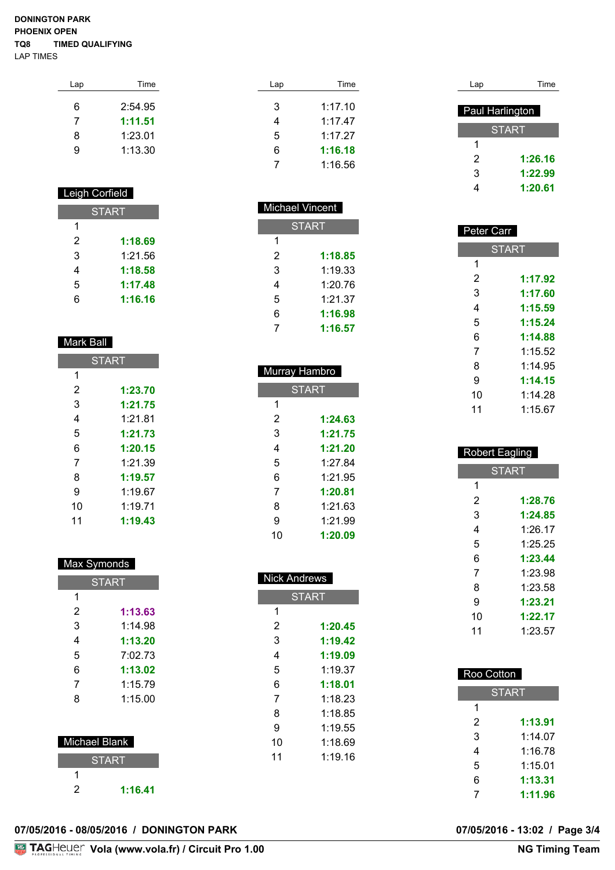#### **DONINGTON PARK PHOENIX OPEN TQ8 TIMED QUALIFYING** LAP TIMES

| Lap | <b>Time</b> |
|-----|-------------|
| 6   | 2:54.95     |
| 7   | 1:11.51     |
| 8   | 1:23.01     |
| g   | 1:13.30     |

#### Leigh Corfield

| <b>START</b> |         |
|--------------|---------|
| 1            |         |
| 2            | 1:18.69 |
| 3            | 1:21.56 |
| 4            | 1:18.58 |
| 5            | 1:17.48 |
| հ            | 1:16.16 |

#### Mark Ball

| <b>START</b> |         |
|--------------|---------|
| 1            |         |
| 2            | 1:23.70 |
| 3            | 1:21.75 |
| 4            | 1:21.81 |
| 5            | 1:21.73 |
| 6            | 1:20.15 |
| 7            | 1:21.39 |
| 8            | 1:19.57 |
| 9            | 1:19.67 |
| 10           | 1:19.71 |
| 11           | 1:19.43 |

#### Max Symonds

| <b>START</b> |         |
|--------------|---------|
| 1            |         |
| 2            | 1:13.63 |
| 3            | 1:14.98 |
| 4            | 1:13.20 |
| 5            | 7:02.73 |
| 6            | 1:13.02 |
| 7            | 1:15.79 |
| 8            | 1:15.00 |
|              |         |

## Michael Blank

i.

|   | <b>START</b> |
|---|--------------|
|   |              |
| 2 | 1:16.41      |

| Lap | Time    |
|-----|---------|
|     |         |
| 3   | 1:17.10 |
| 4   | 1:17.47 |
| 5   | 1:17.27 |
| 6   | 1:16.18 |
|     | 1:16.56 |

#### Michael Vincent **START 1:18.85** 1:19.33 1:20.76

 1:21.37 **1:16.98 1:16.57**

| Murray Hambro |         |  |
|---------------|---------|--|
| <b>START</b>  |         |  |
| 1             |         |  |
| 2             | 1:24.63 |  |
| 3             | 1:21.75 |  |
| 4             | 1:21.20 |  |
| 5             | 1:27.84 |  |
| 6             | 1:21.95 |  |
| 7             | 1:20.81 |  |
| 8             | 1:21.63 |  |
| 9             | 1:21.99 |  |
| 10            | 1:20.09 |  |

| <b>Nick Andrews</b> |              |  |
|---------------------|--------------|--|
|                     | <b>START</b> |  |
| 1                   |              |  |
| 2                   | 1:20.45      |  |
| 3                   | 1:19.42      |  |
| 4                   | 1:19.09      |  |
| 5                   | 1:19.37      |  |
| 6                   | 1:18.01      |  |
| 7                   | 1:18.23      |  |
| 8                   | 1:18.85      |  |
| 9                   | 1:19.55      |  |
| 10                  | 1:18.69      |  |
| 11                  | 1:19.16      |  |
|                     |              |  |
|                     |              |  |

| Lap             | Time         |
|-----------------|--------------|
|                 |              |
| Paul Harlington |              |
|                 | <b>START</b> |
| 1               |              |
| 2               | 1:26.16      |
| 3               | 1:22.99      |
|                 | 1:20.61      |

| Peter Carr   |         |
|--------------|---------|
| <b>START</b> |         |
| 1            |         |
| 2            | 1:17.92 |
| 3            | 1:17.60 |
| 4            | 1:15.59 |
| 5            | 1:15.24 |
| 6            | 1:14.88 |
| 7            | 1:15.52 |
| 8            | 1:14.95 |
| 9            | 1:14.15 |
| 10           | 1:14.28 |
| 11           | 1:15.67 |

| <b>Robert Eagling</b> |              |  |  |  |  |
|-----------------------|--------------|--|--|--|--|
|                       | <b>START</b> |  |  |  |  |
| 1                     |              |  |  |  |  |
| 2                     | 1:28.76      |  |  |  |  |
| 3                     | 1:24.85      |  |  |  |  |
| 4                     | 1:26.17      |  |  |  |  |
| 5                     | 1:25.25      |  |  |  |  |
| 6                     | 1:23.44      |  |  |  |  |
| 7                     | 1:23.98      |  |  |  |  |
| 8                     | 1:23.58      |  |  |  |  |
| 9                     | 1:23.21      |  |  |  |  |
| 10                    | 1:22.17      |  |  |  |  |
| 11                    | 1:23.57      |  |  |  |  |

| Roo Cotton   |         |  |  |  |  |
|--------------|---------|--|--|--|--|
| <b>START</b> |         |  |  |  |  |
| 1            |         |  |  |  |  |
| 2            | 1:13.91 |  |  |  |  |
| 3            | 1:14.07 |  |  |  |  |
| 4            | 1:16.78 |  |  |  |  |
| 5            | 1:15.01 |  |  |  |  |
| 6            | 1:13.31 |  |  |  |  |
| 7            | 1:11.96 |  |  |  |  |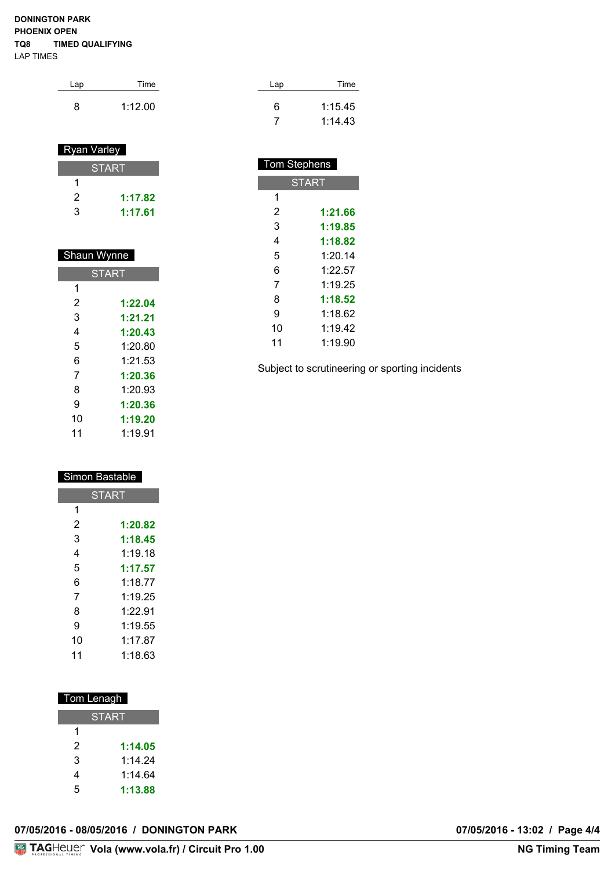#### **DONINGTON PARK PHOENIX OPEN TQ8 TIMED QUALIFYING** LAP TIMES

| Lap | Time    | Lap | Time    |
|-----|---------|-----|---------|
| 8   | 1:12.00 | 6   | 1:15.45 |
|     |         |     | 1:14.43 |

Tom Stephens

**START** 

 **1:21.66 1:19.85 1:18.82** 1:20.14 1:22.57 1:19.25 **1:18.52** 1:18.62 1:19.42 1:19.90

Subject to scrutineering or sporting incidents

#### Ryan Varley

|   | <b>START</b> |
|---|--------------|
|   |              |
| 2 | 1:17.82      |
| з | 1:17.61      |

| Shaun Wynne |              |  |  |
|-------------|--------------|--|--|
|             | <b>START</b> |  |  |
| 1           |              |  |  |
| 2           | 1:22.04      |  |  |
| 3           | 1:21.21      |  |  |
| 4           | 1:20.43      |  |  |
| 5           | 1:20.80      |  |  |
| 6           | 1:21.53      |  |  |
| 7           | 1:20.36      |  |  |
| 8           | 1:20.93      |  |  |
| 9           | 1:20.36      |  |  |
| 10          | 1:19.20      |  |  |
| 11          | 1:19.91      |  |  |

#### Simon Bastable

|    | <b>START</b> |
|----|--------------|
| 1  |              |
| 2  | 1:20.82      |
| 3  | 1:18.45      |
| 4  | 1:19.18      |
| 5  | 1:17.57      |
| 6  | 1:18.77      |
| 7  | 1:19.25      |
| 8  | 1.2291       |
| 9  | 1:19.55      |
| 10 | 1:17.87      |
| 11 | 1:18.63      |

#### Tom Lenagh

|   | START   |
|---|---------|
| 1 |         |
| 2 | 1:14.05 |
| 3 | 1 14 24 |
| 4 | 1:14.64 |
| 5 | 1:13.88 |

| 07/05/2016 - 08/05/2016 / DONINGTON PARK |
|------------------------------------------|
|------------------------------------------|

07/05/2016 - 13:02 / Page 4/4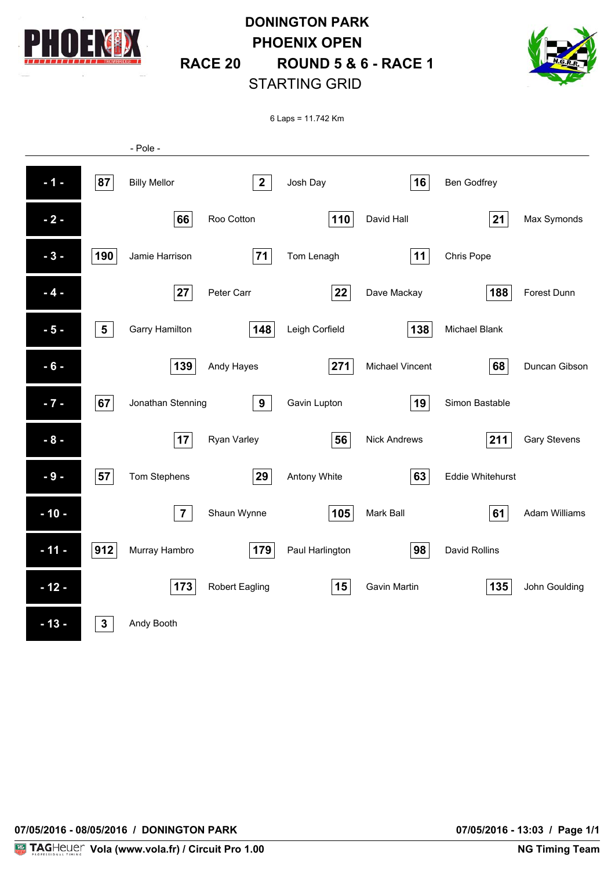

# **DONINGTON PARK PHOENIX OPEN RACE 20 ROUND 5 & 6 - RACE 1** STARTING GRID



6 Laps = 11.742 Km

|        |                 | - Pole -            |                       |                 |                        |                         |                      |
|--------|-----------------|---------------------|-----------------------|-----------------|------------------------|-------------------------|----------------------|
| $-1 -$ | 87              | <b>Billy Mellor</b> | $\mathbf{2}$          | Josh Day        | 16                     | Ben Godfrey             |                      |
| $-2-$  |                 | 66                  | Roo Cotton            | 110             | David Hall             | 21                      | Max Symonds          |
| $-3-$  | 190             | Jamie Harrison      | 71                    | Tom Lenagh      | 11                     | Chris Pope              |                      |
| $-4-$  |                 | 27                  | Peter Carr            | 22              | Dave Mackay            | 188                     | Forest Dunn          |
| $-5-$  | $5\phantom{.0}$ | Garry Hamilton      | 148                   | Leigh Corfield  | 138                    | Michael Blank           |                      |
| $-6-$  |                 | 139                 | Andy Hayes            | 271             | <b>Michael Vincent</b> | 68                      | Duncan Gibson        |
| $-7 -$ | 67              | Jonathan Stenning   | 9                     | Gavin Lupton    | 19                     | Simon Bastable          |                      |
| $-8-$  |                 | 17                  | Ryan Varley           | 56              | <b>Nick Andrews</b>    | 211                     | <b>Gary Stevens</b>  |
| $-9-$  | 57              | Tom Stephens        | 29                    | Antony White    | 63                     | <b>Eddie Whitehurst</b> |                      |
| $-10-$ |                 | $\overline{7}$      | Shaun Wynne           | 105             | Mark Ball              | 61                      | <b>Adam Williams</b> |
| $-11-$ | 912             | Murray Hambro       | 179                   | Paul Harlington | 98                     | David Rollins           |                      |
| $-12-$ |                 | 173                 | <b>Robert Eagling</b> | 15              | <b>Gavin Martin</b>    | 135                     | John Goulding        |
| $-13-$ | $\mathbf{3}$    | Andy Booth          |                       |                 |                        |                         |                      |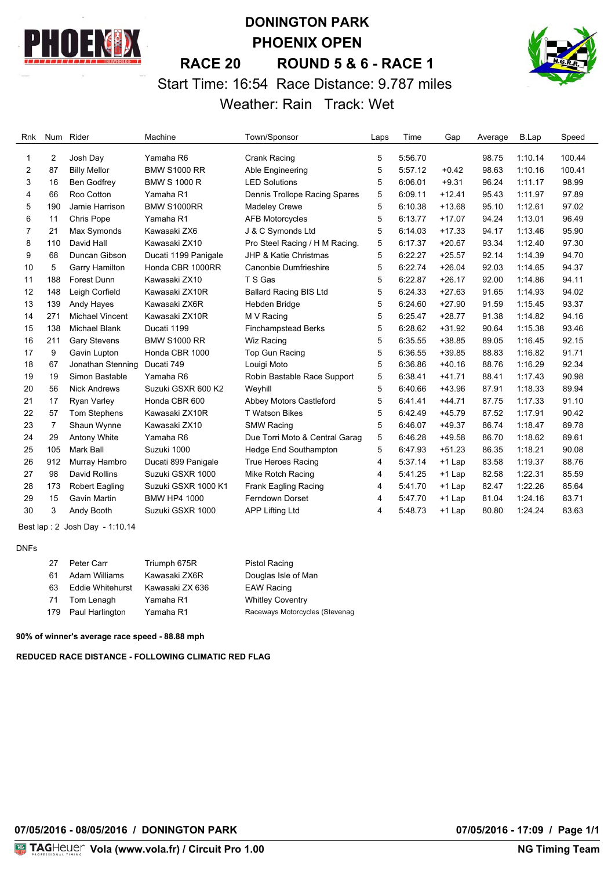

# **DONINGTON PARK PHOENIX OPEN RACE 20 ROUND 5 & 6 - RACE 1** Start Time: 16:54 Race Distance: 9.787 miles Weather: Rain Track: Wet



| Rnk | Num            | Rider                  | Machine              | Town/Sponsor                     | Laps | Time    | Gap      | Average | B.Lap   | Speed  |
|-----|----------------|------------------------|----------------------|----------------------------------|------|---------|----------|---------|---------|--------|
|     |                |                        |                      |                                  |      |         |          |         |         |        |
| 1.  | 2              | Josh Day               | Yamaha R6            | Crank Racing                     | 5    | 5:56.70 |          | 98.75   | 1:10.14 | 100.44 |
| 2   | 87             | <b>Billy Mellor</b>    | <b>BMW S1000 RR</b>  | Able Engineering                 | 5    | 5:57.12 | $+0.42$  | 98.63   | 1:10.16 | 100.41 |
| 3   | 16             | Ben Godfrey            | <b>BMW S 1000 R</b>  | <b>LED Solutions</b>             | 5    | 6:06.01 | $+9.31$  | 96.24   | 1:11.17 | 98.99  |
| 4   | 66             | Roo Cotton             | Yamaha R1            | Dennis Trollope Racing Spares    | 5    | 6:09.11 | $+12.41$ | 95.43   | 1:11.97 | 97.89  |
| 5   | 190            | Jamie Harrison         | <b>BMW S1000RR</b>   | <b>Madeley Crewe</b>             | 5    | 6:10.38 | $+13.68$ | 95.10   | 1:12.61 | 97.02  |
| 6   | 11             | Chris Pope             | Yamaha R1            | <b>AFB Motorcycles</b>           | 5    | 6:13.77 | $+17.07$ | 94.24   | 1:13.01 | 96.49  |
| 7   | 21             | Max Symonds            | Kawasaki ZX6         | J & C Symonds Ltd                | 5    | 6:14.03 | $+17.33$ | 94.17   | 1:13.46 | 95.90  |
| 8   | 110            | David Hall             | Kawasaki ZX10        | Pro Steel Racing / H M Racing.   | 5    | 6:17.37 | $+20.67$ | 93.34   | 1:12.40 | 97.30  |
| 9   | 68             | Duncan Gibson          | Ducati 1199 Panigale | <b>JHP &amp; Katie Christmas</b> | 5    | 6:22.27 | $+25.57$ | 92.14   | 1:14.39 | 94.70  |
| 10  | 5              | Garry Hamilton         | Honda CBR 1000RR     | Canonbie Dumfrieshire            | 5    | 6:22.74 | $+26.04$ | 92.03   | 1:14.65 | 94.37  |
| 11  | 188            | Forest Dunn            | Kawasaki ZX10        | T S Gas                          | 5    | 6:22.87 | $+26.17$ | 92.00   | 1:14.86 | 94.11  |
| 12  | 148            | Leigh Corfield         | Kawasaki ZX10R       | <b>Ballard Racing BIS Ltd</b>    | 5    | 6:24.33 | $+27.63$ | 91.65   | 1:14.93 | 94.02  |
| 13  | 139            | Andy Hayes             | Kawasaki ZX6R        | Hebden Bridge                    | 5    | 6:24.60 | $+27.90$ | 91.59   | 1:15.45 | 93.37  |
| 14  | 271            | <b>Michael Vincent</b> | Kawasaki ZX10R       | M V Racing                       | 5    | 6:25.47 | $+28.77$ | 91.38   | 1:14.82 | 94.16  |
| 15  | 138            | <b>Michael Blank</b>   | Ducati 1199          | <b>Finchampstead Berks</b>       | 5    | 6:28.62 | $+31.92$ | 90.64   | 1:15.38 | 93.46  |
| 16  | 211            | <b>Gary Stevens</b>    | <b>BMW S1000 RR</b>  | Wiz Racing                       | 5    | 6:35.55 | $+38.85$ | 89.05   | 1:16.45 | 92.15  |
| 17  | 9              | Gavin Lupton           | Honda CBR 1000       | Top Gun Racing                   | 5    | 6:36.55 | $+39.85$ | 88.83   | 1:16.82 | 91.71  |
| 18  | 67             | Jonathan Stenning      | Ducati 749           | Louigi Moto                      | 5    | 6:36.86 | $+40.16$ | 88.76   | 1:16.29 | 92.34  |
| 19  | 19             | Simon Bastable         | Yamaha R6            | Robin Bastable Race Support      | 5    | 6:38.41 | $+41.71$ | 88.41   | 1:17.43 | 90.98  |
| 20  | 56             | <b>Nick Andrews</b>    | Suzuki GSXR 600 K2   | Weyhill                          | 5    | 6:40.66 | $+43.96$ | 87.91   | 1:18.33 | 89.94  |
| 21  | 17             | <b>Ryan Varley</b>     | Honda CBR 600        | Abbey Motors Castleford          | 5    | 6:41.41 | $+44.71$ | 87.75   | 1:17.33 | 91.10  |
| 22  | 57             | Tom Stephens           | Kawasaki ZX10R       | <b>T Watson Bikes</b>            | 5    | 6:42.49 | $+45.79$ | 87.52   | 1:17.91 | 90.42  |
| 23  | $\overline{7}$ | Shaun Wynne            | Kawasaki ZX10        | <b>SMW Racing</b>                | 5    | 6:46.07 | $+49.37$ | 86.74   | 1:18.47 | 89.78  |
| 24  | 29             | Antony White           | Yamaha R6            | Due Torri Moto & Central Garag   | 5    | 6:46.28 | $+49.58$ | 86.70   | 1:18.62 | 89.61  |
| 25  | 105            | Mark Ball              | Suzuki 1000          | Hedge End Southampton            | 5    | 6:47.93 | $+51.23$ | 86.35   | 1:18.21 | 90.08  |
| 26  | 912            | Murray Hambro          | Ducati 899 Panigale  | <b>True Heroes Racing</b>        | 4    | 5:37.14 | +1 Lap   | 83.58   | 1:19.37 | 88.76  |
| 27  | 98             | David Rollins          | Suzuki GSXR 1000     | Mike Rotch Racing                | 4    | 5:41.25 | $+1$ Lap | 82.58   | 1:22.31 | 85.59  |
| 28  | 173            | Robert Eagling         | Suzuki GSXR 1000 K1  | Frank Eagling Racing             | 4    | 5:41.70 | +1 Lap   | 82.47   | 1:22.26 | 85.64  |
| 29  | 15             | Gavin Martin           | <b>BMW HP4 1000</b>  | <b>Ferndown Dorset</b>           | 4    | 5:47.70 | $+1$ Lap | 81.04   | 1:24.16 | 83.71  |
| 30  | 3              | Andy Booth             | Suzuki GSXR 1000     | <b>APP Lifting Ltd</b>           | 4    | 5:48.73 | $+1$ Lap | 80.80   | 1:24.24 | 83.63  |

Best lap : 2 Josh Day - 1:10.14

#### DNFs

| 27 | Peter Carr              | Triumph 675R    | Pistol Racing                  |
|----|-------------------------|-----------------|--------------------------------|
| 61 | Adam Williams           | Kawasaki ZX6R   | Douglas Isle of Man            |
| 63 | <b>Eddie Whitehurst</b> | Kawasaki ZX 636 | <b>EAW Racing</b>              |
| 71 | Tom Lenagh              | Yamaha R1       | <b>Whitley Coventry</b>        |
|    | 179 Paul Harlington     | Yamaha R1       | Raceways Motorcycles (Stevenag |

**90% of winner's average race speed - 88.88 mph**

**REDUCED RACE DISTANCE - FOLLOWING CLIMATIC RED FLAG**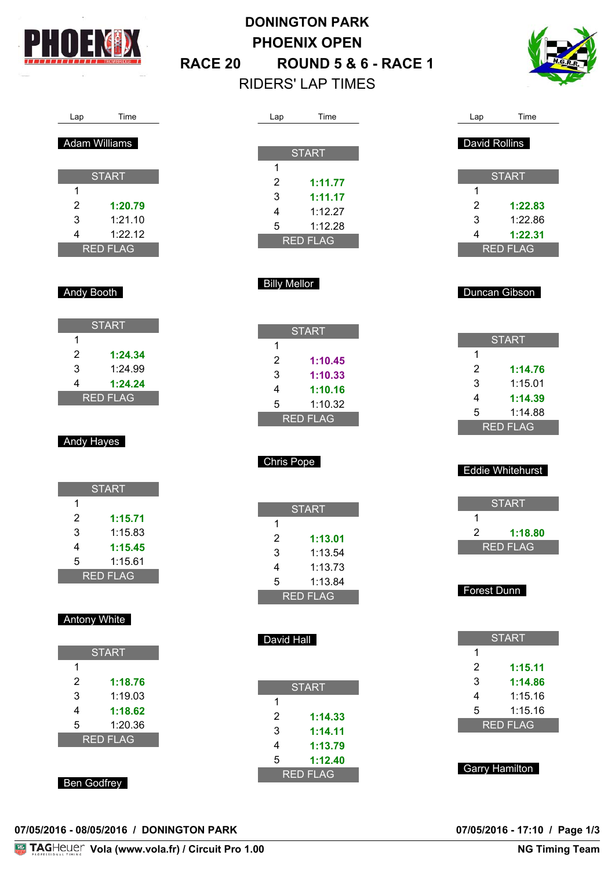

# **DONINGTON PARK PHOENIX OPEN RACE 20 ROUND 5 & 6 - RACE 1** RIDERS' LAP TIMES



# Lap Time

#### Adam Williams

|                 | <b>START</b> |  |  |
|-----------------|--------------|--|--|
| 1               |              |  |  |
| 2               | 1:20.79      |  |  |
| 3               | 1:21.10      |  |  |
| 4               | 1:22.12      |  |  |
| <b>RED FLAG</b> |              |  |  |

#### Andy Booth

| <b>START</b> |         |  |
|--------------|---------|--|
| 1            |         |  |
| 2            | 1:24.34 |  |
| 3            | 1:24.99 |  |
| 4            | 1:24.24 |  |
| RED FLAG     |         |  |

#### Andy Hayes

| <b>START</b>    |         |  |
|-----------------|---------|--|
| 1               |         |  |
| 2               | 1:15.71 |  |
| 3               | 1:15.83 |  |
| 4               | 1:15.45 |  |
| 5               | 1:15.61 |  |
| <b>RED FLAG</b> |         |  |

#### Antony White

| <b>START</b>    |         |  |
|-----------------|---------|--|
| 1               |         |  |
| 2               | 1:18.76 |  |
| 3               | 1:19.03 |  |
| 4               | 1:18.62 |  |
| 5               | 1:20.36 |  |
| <b>RED FLAG</b> |         |  |
|                 |         |  |
|                 |         |  |

#### Ben Godfrey

| )7/05/2016 - 08/05/2016 / DONINGTON PARK |  |  |
|------------------------------------------|--|--|
|                                          |  |  |

| Lap             | Time         |  |
|-----------------|--------------|--|
|                 |              |  |
|                 | <b>START</b> |  |
| 1               |              |  |
| 2               | 1:11.77      |  |
| 3               | 1:11.17      |  |
| 4               | 1:12.27      |  |
| 5               | 1:12.28      |  |
| <b>RED FLAG</b> |              |  |

#### Billy Mellor

|                 | <b>START</b> |
|-----------------|--------------|
| 1               |              |
| 2               | 1:10.45      |
| 3               | 1:10.33      |
| 4               | 1:10.16      |
| 5               | 1:10.32      |
| <b>RED FLAG</b> |              |

#### Chris Pope

| <b>START</b> |         |  |
|--------------|---------|--|
| 1            |         |  |
| 2            | 1:13.01 |  |
| 3            | 1:13.54 |  |
| 4            | 1:13.73 |  |
| 5            | 1:13.84 |  |
| RED FLAG     |         |  |

#### David Hall

| <b>START</b>    |         |  |
|-----------------|---------|--|
| 1               |         |  |
| 2               | 1:14.33 |  |
| 3               | 1:14.11 |  |
| 4               | 1:13.79 |  |
| 5               | 1:12.40 |  |
| <b>RED FLAG</b> |         |  |

| Lap           | Time         |
|---------------|--------------|
|               |              |
| David Rollins |              |
|               |              |
|               | <b>START</b> |
| 1             |              |
| 2             | 1:22.83      |
| 3             | 1:22.86      |
| 4             | 1:22.31      |
|               | RED FLAG     |

#### Duncan Gibson

| <b>START</b>    |         |
|-----------------|---------|
| 1               |         |
| 2               | 1:14.76 |
| 3               | 1:15.01 |
| 4               | 1:14.39 |
| 5               | 1:14.88 |
| <b>RED FLAG</b> |         |

#### Eddie Whitehurst

| <b>START</b>    |         |  |
|-----------------|---------|--|
| 1               |         |  |
| 2               | 1:18.80 |  |
| <u>RED FLAG</u> |         |  |

#### Forest Dunn

| <b>START</b> |         |  |
|--------------|---------|--|
| 1            |         |  |
| 2            | 1:15.11 |  |
| 3            | 1:14.86 |  |
| 4            | 1:15.16 |  |
| 5            | 1:15.16 |  |
| RED FLAG     |         |  |
|              |         |  |

Garry Hamilton

07/05/2016 - 17:10 / Page 1/3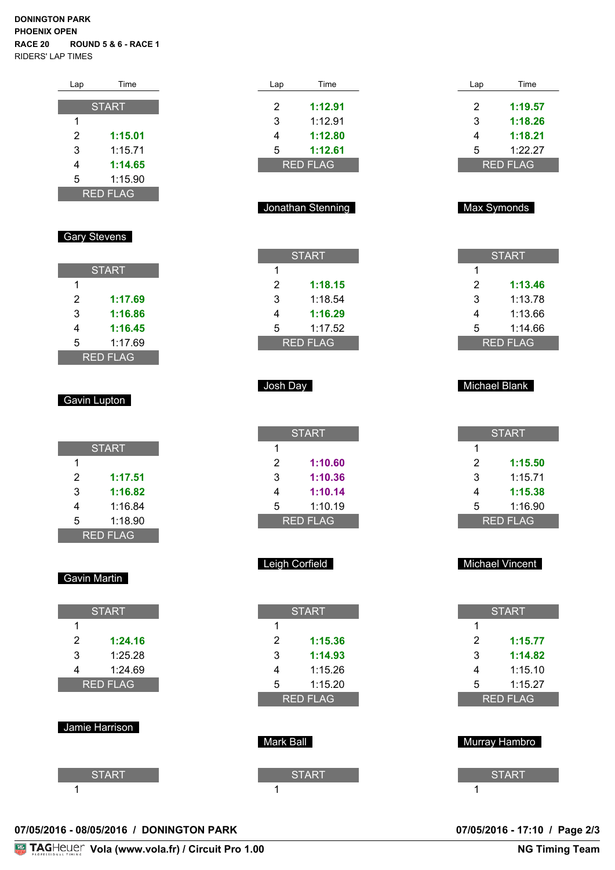#### **DONINGTON PARK PHOENIX OPEN RACE 20 ROUND 5 & 6 - RACE 1** RIDERS' LAP TIMES

| Lap             | Time         |
|-----------------|--------------|
|                 |              |
|                 | <b>START</b> |
| 1               |              |
| 2               | 1:15.01      |
| 3               | 1:15.71      |
| 4               | 1:14.65      |
| 5               | 1:15.90      |
| <b>RED FLAG</b> |              |

#### Gary Stevens

| <b>START</b>    |         |  |
|-----------------|---------|--|
| 1               |         |  |
| 2               | 1:17.69 |  |
| 3               | 1:16.86 |  |
| 4               | 1:16.45 |  |
| 5               | 1:17.69 |  |
| <b>RED FLAG</b> |         |  |

#### Gavin Lupton

| <b>START</b> |         |  |
|--------------|---------|--|
| 1            |         |  |
| 2            | 1:17.51 |  |
| 3            | 1:16.82 |  |
| 4            | 1:16.84 |  |
| 5            | 1:18.90 |  |
| RED FLAG     |         |  |

#### Gavin Martin

| <b>START</b>    |         |  |
|-----------------|---------|--|
| 1               |         |  |
| 2               | 1:24.16 |  |
| 3               | 1:25.28 |  |
| 4               | 1:24.69 |  |
| <b>RED FLAG</b> |         |  |
|                 |         |  |

#### Jamie Harrison

| <b>START</b> |  |
|--------------|--|
|              |  |

| 1:12.80           |
|-------------------|
|                   |
| 1:12.61           |
| <b>RED FLAG</b>   |
| Jonathan Stenning |
|                   |

Lap Time

2 **1:12.91**

| <b>START</b>    |         |  |
|-----------------|---------|--|
| 1               |         |  |
| 2               | 1:18.15 |  |
| 3               | 1:18.54 |  |
| 4               | 1:16.29 |  |
| 5               | 1:17.52 |  |
| <u>RED FLAG</u> |         |  |

#### Josh Day

| <b>START</b> |         |  |
|--------------|---------|--|
| 1            |         |  |
| 2            | 1:10.60 |  |
| 3            | 1:10.36 |  |
| 4            | 1:10.14 |  |
| 5            | 1:10.19 |  |
| RED FLAG     |         |  |

#### Leigh Corfield

| <b>START</b>    |         |  |
|-----------------|---------|--|
| 1               |         |  |
| 2               | 1:15.36 |  |
| 3               | 1:14.93 |  |
| 4               | 1:15.26 |  |
| 5               | 1:15.20 |  |
| <b>RED FLAG</b> |         |  |
|                 |         |  |

# Mark Ball

| arn Dall     |  |  |
|--------------|--|--|
|              |  |  |
| <b>START</b> |  |  |
|              |  |  |
|              |  |  |

#### Max Symonds

Lap Time

2 **1:19.57** 3 **1:18.26** 4 **1:18.21** 5 1:22.27 RED FLAG

| <b>START</b> |         |  |
|--------------|---------|--|
| 1            |         |  |
| 2            | 1:13.46 |  |
| 3            | 1:13.78 |  |
| 4            | 1:13.66 |  |
| 5            | 1:14.66 |  |
| RED FLAG     |         |  |

#### Michael Blank

| <b>START</b>    |         |  |
|-----------------|---------|--|
| 1               |         |  |
| 2               | 1:15.50 |  |
| 3               | 1:15.71 |  |
| 4               | 1:15.38 |  |
| 5               | 1:16.90 |  |
| <b>RED FLAG</b> |         |  |

#### Michael Vincent

| <b>START</b>    |         |  |  |
|-----------------|---------|--|--|
| 1               |         |  |  |
| 2               | 1:15.77 |  |  |
| 3               | 1:14.82 |  |  |
| 4               | 1:15.10 |  |  |
| 5               | 1:15.27 |  |  |
| <b>RED FLAG</b> |         |  |  |
|                 |         |  |  |

| Murray Hambro |
|---------------|
| <b>START</b>  |
|               |

#### **07/05/2016 - 08/05/2016 / DONINGTON PARK 07/05/2016 - 17:10 / Page 2/3**

# 07/05/2016 - 17:10 / Page 2/3<br>NG Timing Team

**Vola (www.vola.fr) / Circuit Pro 1.00**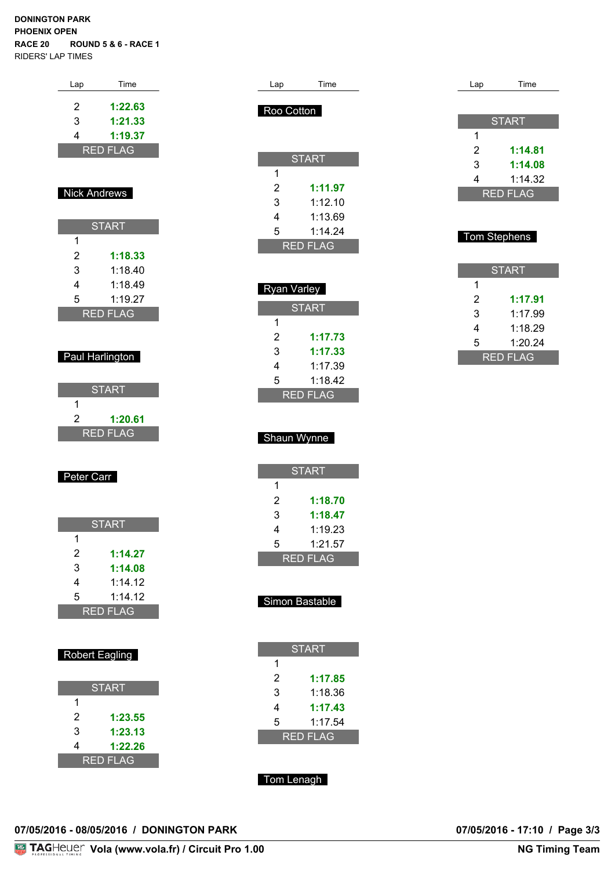#### **DONINGTON PARK PHOENIX OPEN RACE 20 ROUND 5 & 6 - RACE 1** RIDERS' LAP TIMES

| Lap                          | Time                       |  |
|------------------------------|----------------------------|--|
| 2                            | 1:22.63                    |  |
| 3<br>$\overline{\mathbf{4}}$ | 1:21.33                    |  |
|                              | 1:19.37<br><b>RED FLAG</b> |  |
|                              |                            |  |
|                              |                            |  |
| <b>Nick Andrews</b>          |                            |  |
|                              | <b>START</b>               |  |
| 1                            |                            |  |
| $\overline{c}$<br>3          | 1:18.33<br>1:18.40         |  |
| $\overline{4}$               | 1:18.49                    |  |
| 5                            | 1:19.27                    |  |
|                              | <b>RED FLAG</b>            |  |
|                              |                            |  |
|                              | Paul Harlington            |  |
|                              |                            |  |
| 1                            | <b>START</b>               |  |
| $\overline{2}$               | 1:20.61                    |  |
| RED                          | <b>FLAG</b>                |  |
|                              |                            |  |
| Peter Carr                   |                            |  |
|                              |                            |  |
|                              | <b>START</b>               |  |
| 1                            |                            |  |
| $\overline{c}$               | 1:14.27                    |  |
| 3<br>4                       | 1:14.08                    |  |
| 5                            | 1:14.12<br>1:14.12         |  |
|                              | <b>RED FLAG</b>            |  |
|                              |                            |  |
|                              | <b>Robert Eagling</b>      |  |
|                              |                            |  |
|                              | <b>START</b>               |  |
| 1                            |                            |  |
| $\overline{c}$               | 1:23.55                    |  |

|   | obert Eagling |
|---|---------------|
|   | <b>START</b>  |
| 1 |               |
| 2 | 1:23.55       |
| 3 | 1:23.13       |
| 4 | 1:22.26       |
|   | RED FLAG      |

| 07/05/2016 - 08/05/2016 / DONINGTON PARK |  | 07/05/2016 - 17:10 / Page 3/3 |  |
|------------------------------------------|--|-------------------------------|--|

| Lap            | Time            |  | Lap | Time                       |
|----------------|-----------------|--|-----|----------------------------|
| Roo Cotton     |                 |  |     |                            |
|                |                 |  |     | <b>START</b>               |
|                |                 |  | 1   |                            |
|                | <b>START</b>    |  | 2   | 1:14.81                    |
| 1              |                 |  | 3   | 1:14.08                    |
| $\overline{2}$ | 1:11.97         |  | 4   | 1:14.32<br><b>RED FLAG</b> |
| 3              | 1:12.10         |  |     |                            |
| 4              | 1:13.69         |  |     |                            |
| 5              | 1:14.24         |  |     | <b>Tom Stephens</b>        |
|                | <b>RED FLAG</b> |  |     |                            |
|                |                 |  |     | <b>START</b>               |
| Ryan Varley    |                 |  | 1   |                            |
|                |                 |  | 2   | 1:17.91                    |
| 1              | <b>START</b>    |  | 3   | 1:17.99                    |
| $\overline{2}$ | 1:17.73         |  | 4   | 1:18.29                    |
| 3              | 1:17.33         |  | 5   | 1:20.24                    |
| 4              | 1:17.39         |  |     | <b>RED FLAG</b>            |
| 5              | 1:18.42         |  |     |                            |
|                | <b>RED FLAG</b> |  |     |                            |
|                |                 |  |     |                            |
|                |                 |  |     |                            |
|                | Shaun Wynne     |  |     |                            |
|                |                 |  |     |                            |
| $\mathbf{1}$   | <b>START</b>    |  |     |                            |
| $\overline{2}$ | 1:18.70         |  |     |                            |
| 3              | 1:18.47         |  |     |                            |
| 4              | 1:19.23         |  |     |                            |
| 5              | 1:21.57         |  |     |                            |
|                | <b>RED FLAG</b> |  |     |                            |
|                |                 |  |     |                            |
|                |                 |  |     |                            |
|                | Simon Bastable  |  |     |                            |
|                |                 |  |     |                            |
|                |                 |  |     |                            |
|                | <b>START</b>    |  |     |                            |

1

2 **1:17.85** 3 1:18.36 4 **1:17.43** 5 1:17.54 RED FLAG

Tom Lenagh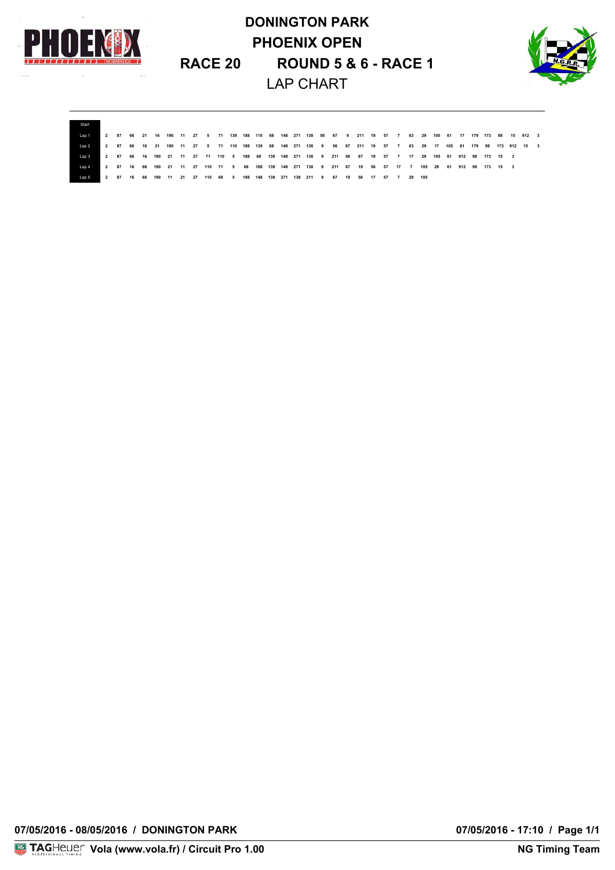

# **DONINGTON PARK PHOENIX OPEN RACE 20 ROUND 5 & 6 - RACE 1** LAP CHART



**Start** Lap1 2 87 66 21 16 190 11 27 5 71 139 188 110 68 148 271 138 56 67 9 211 19 57 7 63 29 105 61 17 179 173 98 15 912 3 Lap 2 2 87 66 16 21 190 11 27 5 71 110 188 139 68 148 271 138 9 56 67 211 19 57 7 63 29 17 105 61 179 98 173 912 15 3 Lap3 2 87 66 16 190 21 11 27 71 110 5 188 68 139 148 271 138 9 211 56 67 19 57 7 17 29 105 61 912 98 173 15 3 Lap 4 2 87 16 66 190 21 11 27 110 71 5 68 188 139 148 271 138 9 211 67 19 66 57 17 7 105 29 61 912 98 173 15 3 190 11 21 27 110 68 5 188 148 139 271 138 211 9 67 19 56 17 57 7 29 105